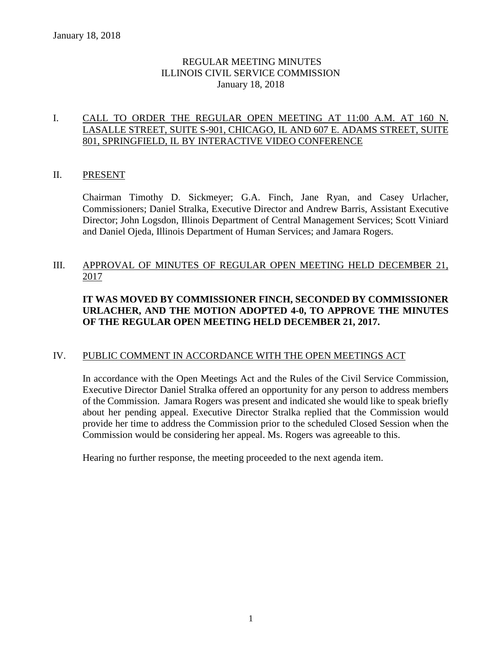## REGULAR MEETING MINUTES ILLINOIS CIVIL SERVICE COMMISSION January 18, 2018

## I. CALL TO ORDER THE REGULAR OPEN MEETING AT 11:00 A.M. AT 160 N. LASALLE STREET, SUITE S-901, CHICAGO, IL AND 607 E. ADAMS STREET, SUITE 801, SPRINGFIELD, IL BY INTERACTIVE VIDEO CONFERENCE

## II. PRESENT

Chairman Timothy D. Sickmeyer; G.A. Finch, Jane Ryan, and Casey Urlacher, Commissioners; Daniel Stralka, Executive Director and Andrew Barris, Assistant Executive Director; John Logsdon, Illinois Department of Central Management Services; Scott Viniard and Daniel Ojeda, Illinois Department of Human Services; and Jamara Rogers.

## III. APPROVAL OF MINUTES OF REGULAR OPEN MEETING HELD DECEMBER 21, 2017

## **IT WAS MOVED BY COMMISSIONER FINCH, SECONDED BY COMMISSIONER URLACHER, AND THE MOTION ADOPTED 4-0, TO APPROVE THE MINUTES OF THE REGULAR OPEN MEETING HELD DECEMBER 21, 2017.**

#### IV. PUBLIC COMMENT IN ACCORDANCE WITH THE OPEN MEETINGS ACT

In accordance with the Open Meetings Act and the Rules of the Civil Service Commission, Executive Director Daniel Stralka offered an opportunity for any person to address members of the Commission. Jamara Rogers was present and indicated she would like to speak briefly about her pending appeal. Executive Director Stralka replied that the Commission would provide her time to address the Commission prior to the scheduled Closed Session when the Commission would be considering her appeal. Ms. Rogers was agreeable to this.

Hearing no further response, the meeting proceeded to the next agenda item.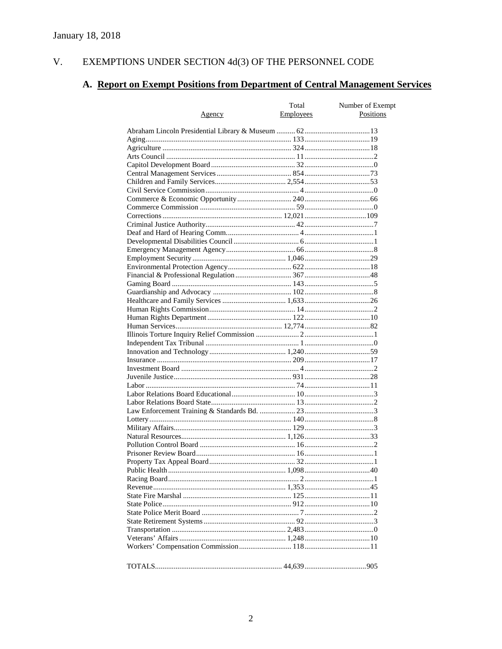#### EXEMPTIONS UNDER SECTION  $4d(3)$  OF THE PERSONNEL CODE V.

# A. Report on Exempt Positions from Department of Central Management Services

|               | Total     | Number of Exempt |
|---------------|-----------|------------------|
| <u>Agency</u> | Employees | Positions        |
|               |           |                  |
|               |           |                  |
|               |           |                  |
|               |           |                  |
|               |           |                  |
|               |           |                  |
|               |           |                  |
|               |           |                  |
|               |           |                  |
|               |           |                  |
|               |           |                  |
|               |           |                  |
|               |           |                  |
|               |           |                  |
|               |           |                  |
|               |           |                  |
|               |           |                  |
|               |           |                  |
|               |           |                  |
|               |           |                  |
|               |           |                  |
|               |           |                  |
|               |           |                  |
|               |           |                  |
|               |           |                  |
|               |           |                  |
|               |           |                  |
|               |           |                  |
|               |           |                  |
|               |           |                  |
|               |           |                  |
|               |           |                  |
|               |           |                  |
|               |           |                  |
|               |           |                  |
|               |           |                  |
|               |           |                  |
|               |           |                  |
|               |           |                  |
|               |           |                  |
|               |           |                  |
|               |           |                  |
|               |           |                  |
|               |           |                  |
|               |           |                  |
|               |           |                  |
|               |           |                  |
|               |           |                  |
|               |           |                  |
|               |           |                  |
|               |           |                  |
|               |           |                  |
|               |           |                  |
|               |           |                  |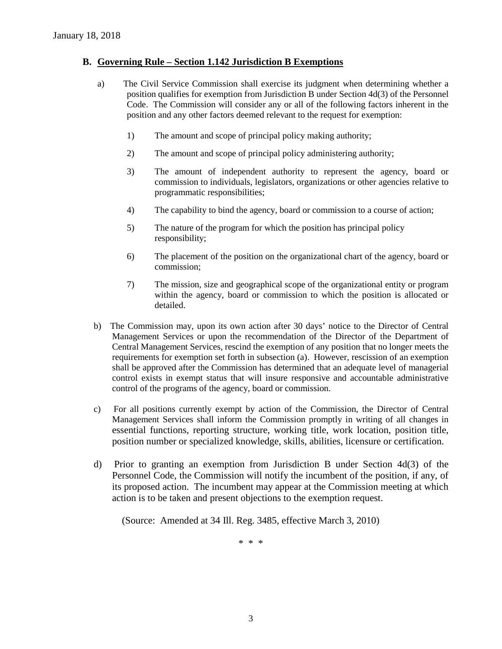#### **B. Governing Rule – Section 1.142 Jurisdiction B Exemptions**

- a) The Civil Service Commission shall exercise its judgment when determining whether a position qualifies for exemption from Jurisdiction B under Section 4d(3) of the Personnel Code. The Commission will consider any or all of the following factors inherent in the position and any other factors deemed relevant to the request for exemption:
	- 1) The amount and scope of principal policy making authority;
	- 2) The amount and scope of principal policy administering authority;
	- 3) The amount of independent authority to represent the agency, board or commission to individuals, legislators, organizations or other agencies relative to programmatic responsibilities;
	- 4) The capability to bind the agency, board or commission to a course of action;
	- 5) The nature of the program for which the position has principal policy responsibility;
	- 6) The placement of the position on the organizational chart of the agency, board or commission;
	- 7) The mission, size and geographical scope of the organizational entity or program within the agency, board or commission to which the position is allocated or detailed.
- b) The Commission may, upon its own action after 30 days' notice to the Director of Central Management Services or upon the recommendation of the Director of the Department of Central Management Services, rescind the exemption of any position that no longer meets the requirements for exemption set forth in subsection (a). However, rescission of an exemption shall be approved after the Commission has determined that an adequate level of managerial control exists in exempt status that will insure responsive and accountable administrative control of the programs of the agency, board or commission.
- c) For all positions currently exempt by action of the Commission, the Director of Central Management Services shall inform the Commission promptly in writing of all changes in essential functions, reporting structure, working title, work location, position title, position number or specialized knowledge, skills, abilities, licensure or certification.
- d) Prior to granting an exemption from Jurisdiction B under Section 4d(3) of the Personnel Code, the Commission will notify the incumbent of the position, if any, of its proposed action. The incumbent may appear at the Commission meeting at which action is to be taken and present objections to the exemption request.

(Source: Amended at 34 Ill. Reg. 3485, effective March 3, 2010)

\* \* \*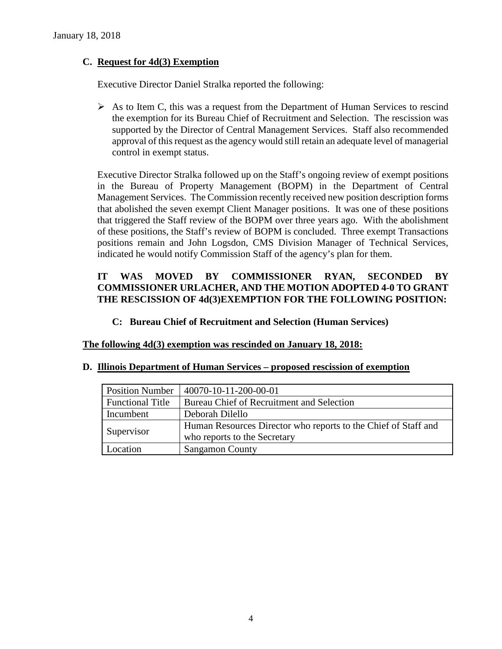## **C. Request for 4d(3) Exemption**

Executive Director Daniel Stralka reported the following:

 $\triangleright$  As to Item C, this was a request from the Department of Human Services to rescind the exemption for its Bureau Chief of Recruitment and Selection. The rescission was supported by the Director of Central Management Services. Staff also recommended approval of this request as the agency would still retain an adequate level of managerial control in exempt status.

Executive Director Stralka followed up on the Staff's ongoing review of exempt positions in the Bureau of Property Management (BOPM) in the Department of Central Management Services. The Commission recently received new position description forms that abolished the seven exempt Client Manager positions. It was one of these positions that triggered the Staff review of the BOPM over three years ago. With the abolishment of these positions, the Staff's review of BOPM is concluded. Three exempt Transactions positions remain and John Logsdon, CMS Division Manager of Technical Services, indicated he would notify Commission Staff of the agency's plan for them.

## **IT WAS MOVED BY COMMISSIONER RYAN, SECONDED BY COMMISSIONER URLACHER, AND THE MOTION ADOPTED 4-0 TO GRANT THE RESCISSION OF 4d(3)EXEMPTION FOR THE FOLLOWING POSITION:**

## **C: Bureau Chief of Recruitment and Selection (Human Services)**

## **The following 4d(3) exemption was rescinded on January 18, 2018:**

#### **D. Illinois Department of Human Services – proposed rescission of exemption**

| <b>Position Number</b>  | 40070-10-11-200-00-01                                          |
|-------------------------|----------------------------------------------------------------|
| <b>Functional Title</b> | Bureau Chief of Recruitment and Selection                      |
| Incumbent               | Deborah Dilello                                                |
|                         | Human Resources Director who reports to the Chief of Staff and |
| Supervisor              | who reports to the Secretary                                   |
| Location                | <b>Sangamon County</b>                                         |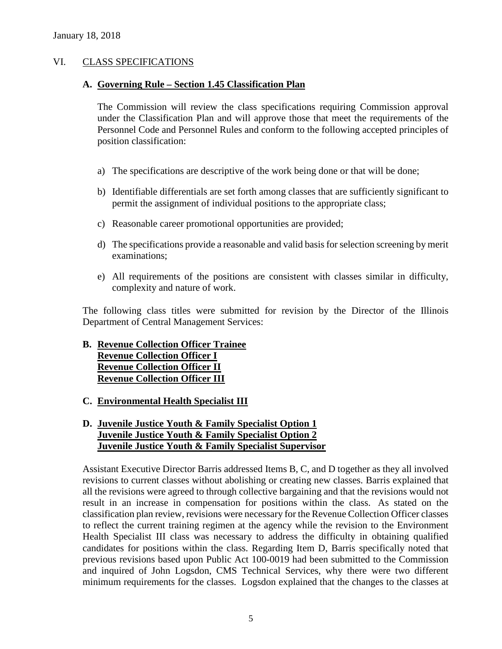#### VI. CLASS SPECIFICATIONS

#### **A. Governing Rule – Section 1.45 Classification Plan**

The Commission will review the class specifications requiring Commission approval under the Classification Plan and will approve those that meet the requirements of the Personnel Code and Personnel Rules and conform to the following accepted principles of position classification:

- a) The specifications are descriptive of the work being done or that will be done;
- b) Identifiable differentials are set forth among classes that are sufficiently significant to permit the assignment of individual positions to the appropriate class;
- c) Reasonable career promotional opportunities are provided;
- d) The specifications provide a reasonable and valid basis for selection screening by merit examinations;
- e) All requirements of the positions are consistent with classes similar in difficulty, complexity and nature of work.

The following class titles were submitted for revision by the Director of the Illinois Department of Central Management Services:

#### **B. Revenue Collection Officer Trainee Revenue Collection Officer I**

**Revenue Collection Officer II Revenue Collection Officer III**

**C. Environmental Health Specialist III** 

## **D. Juvenile Justice Youth & Family Specialist Option 1 Juvenile Justice Youth & Family Specialist Option 2 Juvenile Justice Youth & Family Specialist Supervisor**

Assistant Executive Director Barris addressed Items B, C, and D together as they all involved revisions to current classes without abolishing or creating new classes. Barris explained that all the revisions were agreed to through collective bargaining and that the revisions would not result in an increase in compensation for positions within the class. As stated on the classification plan review, revisions were necessary for the Revenue Collection Officer classes to reflect the current training regimen at the agency while the revision to the Environment Health Specialist III class was necessary to address the difficulty in obtaining qualified candidates for positions within the class. Regarding Item D, Barris specifically noted that previous revisions based upon Public Act 100-0019 had been submitted to the Commission and inquired of John Logsdon, CMS Technical Services, why there were two different minimum requirements for the classes. Logsdon explained that the changes to the classes at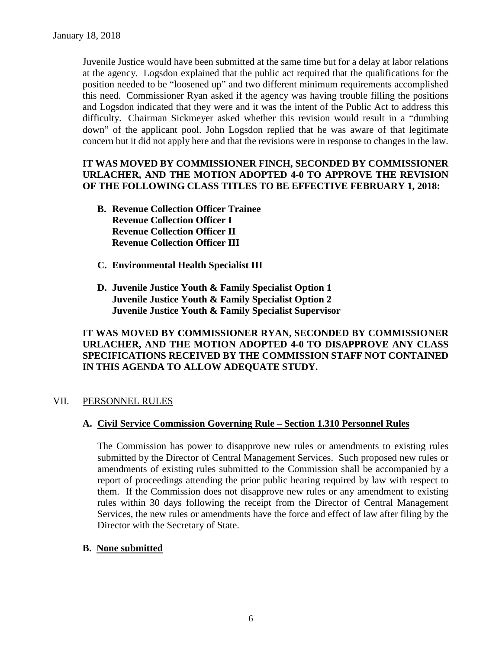Juvenile Justice would have been submitted at the same time but for a delay at labor relations at the agency. Logsdon explained that the public act required that the qualifications for the position needed to be "loosened up" and two different minimum requirements accomplished this need. Commissioner Ryan asked if the agency was having trouble filling the positions and Logsdon indicated that they were and it was the intent of the Public Act to address this difficulty. Chairman Sickmeyer asked whether this revision would result in a "dumbing down" of the applicant pool. John Logsdon replied that he was aware of that legitimate concern but it did not apply here and that the revisions were in response to changes in the law.

## **IT WAS MOVED BY COMMISSIONER FINCH, SECONDED BY COMMISSIONER URLACHER, AND THE MOTION ADOPTED 4-0 TO APPROVE THE REVISION OF THE FOLLOWING CLASS TITLES TO BE EFFECTIVE FEBRUARY 1, 2018:**

- **B. Revenue Collection Officer Trainee Revenue Collection Officer I Revenue Collection Officer II Revenue Collection Officer III**
- **C. Environmental Health Specialist III**
- **D. Juvenile Justice Youth & Family Specialist Option 1 Juvenile Justice Youth & Family Specialist Option 2 Juvenile Justice Youth & Family Specialist Supervisor**

## **IT WAS MOVED BY COMMISSIONER RYAN, SECONDED BY COMMISSIONER URLACHER, AND THE MOTION ADOPTED 4-0 TO DISAPPROVE ANY CLASS SPECIFICATIONS RECEIVED BY THE COMMISSION STAFF NOT CONTAINED IN THIS AGENDA TO ALLOW ADEQUATE STUDY.**

#### VII. PERSONNEL RULES

## **A. Civil Service Commission Governing Rule – Section 1.310 Personnel Rules**

The Commission has power to disapprove new rules or amendments to existing rules submitted by the Director of Central Management Services. Such proposed new rules or amendments of existing rules submitted to the Commission shall be accompanied by a report of proceedings attending the prior public hearing required by law with respect to them. If the Commission does not disapprove new rules or any amendment to existing rules within 30 days following the receipt from the Director of Central Management Services, the new rules or amendments have the force and effect of law after filing by the Director with the Secretary of State.

## **B. None submitted**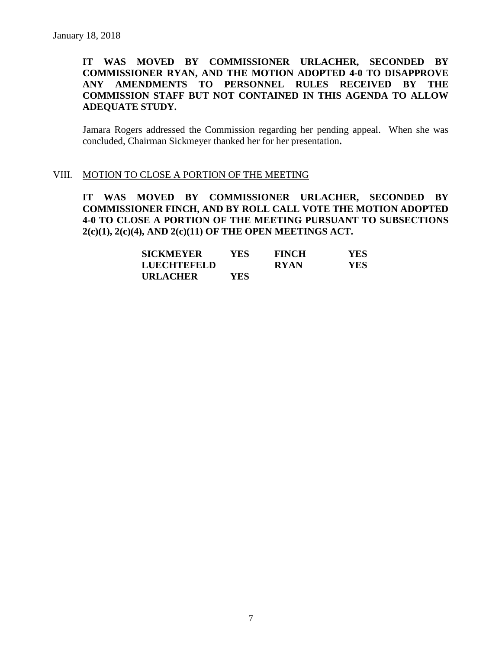## **IT WAS MOVED BY COMMISSIONER URLACHER, SECONDED BY COMMISSIONER RYAN, AND THE MOTION ADOPTED 4-0 TO DISAPPROVE ANY AMENDMENTS TO PERSONNEL RULES RECEIVED BY THE COMMISSION STAFF BUT NOT CONTAINED IN THIS AGENDA TO ALLOW ADEQUATE STUDY.**

Jamara Rogers addressed the Commission regarding her pending appeal. When she was concluded, Chairman Sickmeyer thanked her for her presentation**.**

#### VIII. MOTION TO CLOSE A PORTION OF THE MEETING

**IT WAS MOVED BY COMMISSIONER URLACHER, SECONDED BY COMMISSIONER FINCH, AND BY ROLL CALL VOTE THE MOTION ADOPTED 4-0 TO CLOSE A PORTION OF THE MEETING PURSUANT TO SUBSECTIONS 2(c)(1), 2(c)(4), AND 2(c)(11) OF THE OPEN MEETINGS ACT.**

| <b>SICKMEYER</b>   | YES. | <b>FINCH</b> | <b>YES</b> |
|--------------------|------|--------------|------------|
| <b>LUECHTEFELD</b> |      | <b>RYAN</b>  | YES.       |
| <b>URLACHER</b>    | YES  |              |            |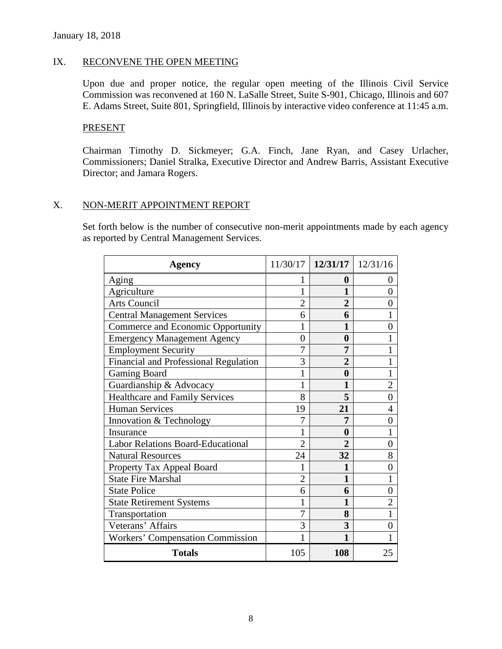#### IX. RECONVENE THE OPEN MEETING

Upon due and proper notice, the regular open meeting of the Illinois Civil Service Commission was reconvened at 160 N. LaSalle Street, Suite S-901, Chicago, Illinois and 607 E. Adams Street, Suite 801, Springfield, Illinois by interactive video conference at 11:45 a.m.

#### PRESENT

Chairman Timothy D. Sickmeyer; G.A. Finch, Jane Ryan, and Casey Urlacher, Commissioners; Daniel Stralka, Executive Director and Andrew Barris, Assistant Executive Director; and Jamara Rogers.

## X. NON-MERIT APPOINTMENT REPORT

Set forth below is the number of consecutive non-merit appointments made by each agency as reported by Central Management Services.

| <b>Agency</b>                            |                | $11/30/17$   $12/31/17$   $12/31/16$ |                |
|------------------------------------------|----------------|--------------------------------------|----------------|
| Aging                                    |                | 0                                    | 0              |
| Agriculture                              | 1              | 1                                    | 0              |
| <b>Arts Council</b>                      | 2              | 2                                    | 0              |
| <b>Central Management Services</b>       | 6              | 6                                    |                |
| Commerce and Economic Opportunity        |                |                                      | 0              |
| <b>Emergency Management Agency</b>       | $\theta$       | $\bf{0}$                             |                |
| <b>Employment Security</b>               | 7              | 7                                    |                |
| Financial and Professional Regulation    | 3              |                                      |                |
| <b>Gaming Board</b>                      | 1              | 0                                    |                |
| Guardianship & Advocacy                  |                | 1                                    | $\overline{2}$ |
| <b>Healthcare and Family Services</b>    | 8              | 5                                    | 0              |
| <b>Human Services</b>                    | 19             | 21                                   | 4              |
| Innovation & Technology                  | 7              | 7                                    | 0              |
| Insurance                                |                | 0                                    |                |
| <b>Labor Relations Board-Educational</b> | $\overline{2}$ |                                      | 0              |
| <b>Natural Resources</b>                 | 24             | 32                                   | 8              |
| Property Tax Appeal Board                |                |                                      | 0              |
| <b>State Fire Marshal</b>                | $\overline{2}$ | 1                                    |                |
| <b>State Police</b>                      | 6              | 6                                    | 0              |
| <b>State Retirement Systems</b>          |                | 1                                    | 2              |
| Transportation                           | 7              | 8                                    |                |
| Veterans' Affairs                        | 3              | 3                                    |                |
| <b>Workers' Compensation Commission</b>  |                | 1                                    |                |
| <b>Totals</b>                            | 105            | 108                                  | 25             |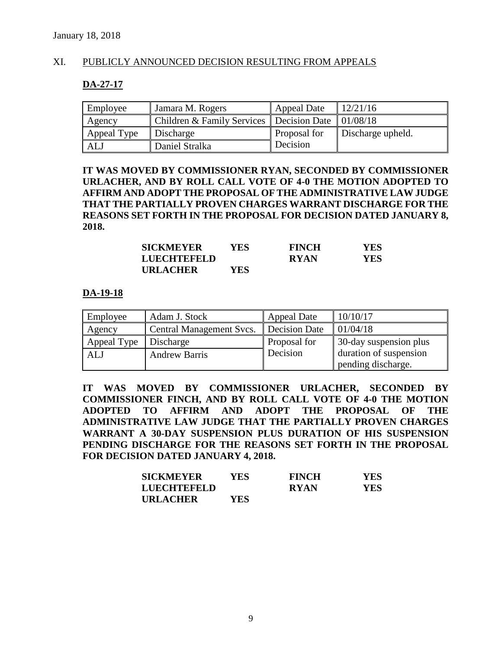## XI. PUBLICLY ANNOUNCED DECISION RESULTING FROM APPEALS

#### **DA-27-17**

| Employee    | Jamara M. Rogers                           | <b>Appeal Date</b> | 12/21/16          |
|-------------|--------------------------------------------|--------------------|-------------------|
| Agency      | Children & Family Services   Decision Date |                    | 01/08/18          |
| Appeal Type | Discharge                                  | Proposal for       | Discharge upheld. |
| ALJ         | Daniel Stralka                             | Decision           |                   |

**IT WAS MOVED BY COMMISSIONER RYAN, SECONDED BY COMMISSIONER URLACHER, AND BY ROLL CALL VOTE OF 4-0 THE MOTION ADOPTED TO AFFIRM AND ADOPT THE PROPOSAL OF THE ADMINISTRATIVE LAW JUDGE THAT THE PARTIALLY PROVEN CHARGES WARRANT DISCHARGE FOR THE REASONS SET FORTH IN THE PROPOSAL FOR DECISION DATED JANUARY 8, 2018.**

| <b>SICKMEYER</b>   | YES. | <b>FINCH</b> | YES. |
|--------------------|------|--------------|------|
| <b>LUECHTEFELD</b> |      | <b>RYAN</b>  | YES. |
| <b>URLACHER</b>    | YES. |              |      |

#### **DA-19-18**

| Employee    | Adam J. Stock            | <b>Appeal Date</b> | 10/10/17               |
|-------------|--------------------------|--------------------|------------------------|
| Agency      | Central Management Svcs. | Decision Date      | 01/04/18               |
| Appeal Type | Discharge                | Proposal for       | 30-day suspension plus |
| ALJ         | <b>Andrew Barris</b>     | Decision           | duration of suspension |
|             |                          |                    | pending discharge.     |

**IT WAS MOVED BY COMMISSIONER URLACHER, SECONDED BY COMMISSIONER FINCH, AND BY ROLL CALL VOTE OF 4-0 THE MOTION ADOPTED TO AFFIRM AND ADOPT THE PROPOSAL OF THE ADMINISTRATIVE LAW JUDGE THAT THE PARTIALLY PROVEN CHARGES WARRANT A 30-DAY SUSPENSION PLUS DURATION OF HIS SUSPENSION PENDING DISCHARGE FOR THE REASONS SET FORTH IN THE PROPOSAL FOR DECISION DATED JANUARY 4, 2018.**

| <b>SICKMEYER</b> | YES. | <b>FINCH</b> | YES  |
|------------------|------|--------------|------|
| LUECHTEFELD      |      | <b>RYAN</b>  | YES. |
| <b>URLACHER</b>  | YES. |              |      |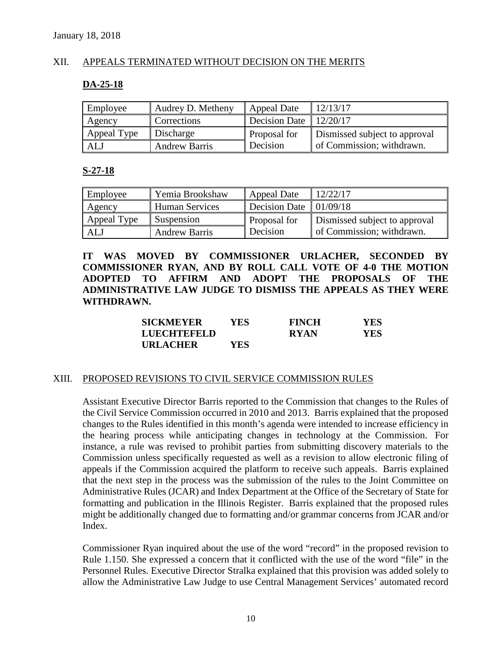## XII. APPEALS TERMINATED WITHOUT DECISION ON THE MERITS

#### **DA-25-18**

| Employee    | Audrey D. Metheny    | Appeal Date          | 12/13/17                      |
|-------------|----------------------|----------------------|-------------------------------|
| Agency      | Corrections          | <b>Decision Date</b> | 12/20/17                      |
| Appeal Type | Discharge            | Proposal for         | Dismissed subject to approval |
| ALJ         | <b>Andrew Barris</b> | Decision             | of Commission; withdrawn.     |

#### **S-27-18**

| Employee    | Yemia Brookshaw      | Appeal Date                          | 12/22/17                      |
|-------------|----------------------|--------------------------------------|-------------------------------|
| Agency      | Human Services       | Decision Date $\vert 01/09/18 \vert$ |                               |
| Appeal Type | Suspension           | Proposal for                         | Dismissed subject to approval |
| ALJ         | <b>Andrew Barris</b> | Decision                             | of Commission; withdrawn.     |

**IT WAS MOVED BY COMMISSIONER URLACHER, SECONDED BY COMMISSIONER RYAN, AND BY ROLL CALL VOTE OF 4-0 THE MOTION ADOPTED TO AFFIRM AND ADOPT THE PROPOSALS OF THE ADMINISTRATIVE LAW JUDGE TO DISMISS THE APPEALS AS THEY WERE WITHDRAWN.**

| <b>SICKMEYER</b> | <b>YES</b> | <b>FINCH</b> | <b>YES</b> |
|------------------|------------|--------------|------------|
| LUECHTEFELD      |            | <b>RYAN</b>  | <b>YES</b> |
| <b>URLACHER</b>  | YES.       |              |            |

#### XIII. PROPOSED REVISIONS TO CIVIL SERVICE COMMISSION RULES

Assistant Executive Director Barris reported to the Commission that changes to the Rules of the Civil Service Commission occurred in 2010 and 2013. Barris explained that the proposed changes to the Rules identified in this month's agenda were intended to increase efficiency in the hearing process while anticipating changes in technology at the Commission. For instance, a rule was revised to prohibit parties from submitting discovery materials to the Commission unless specifically requested as well as a revision to allow electronic filing of appeals if the Commission acquired the platform to receive such appeals. Barris explained that the next step in the process was the submission of the rules to the Joint Committee on Administrative Rules (JCAR) and Index Department at the Office of the Secretary of State for formatting and publication in the Illinois Register. Barris explained that the proposed rules might be additionally changed due to formatting and/or grammar concerns from JCAR and/or Index.

Commissioner Ryan inquired about the use of the word "record" in the proposed revision to Rule 1.150. She expressed a concern that it conflicted with the use of the word "file" in the Personnel Rules. Executive Director Stralka explained that this provision was added solely to allow the Administrative Law Judge to use Central Management Services' automated record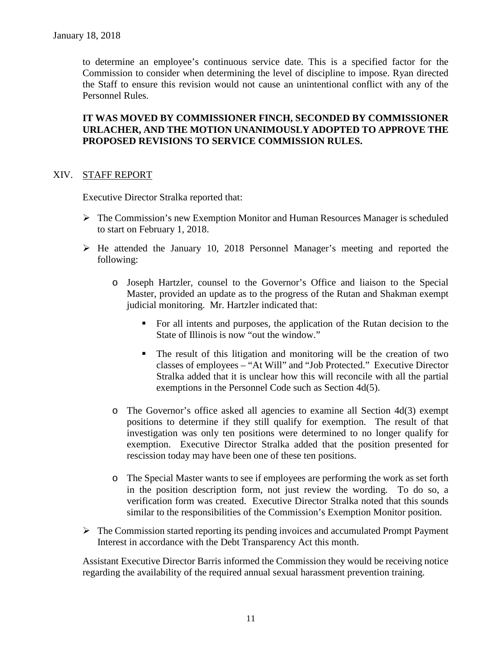to determine an employee's continuous service date. This is a specified factor for the Commission to consider when determining the level of discipline to impose. Ryan directed the Staff to ensure this revision would not cause an unintentional conflict with any of the Personnel Rules.

## **IT WAS MOVED BY COMMISSIONER FINCH, SECONDED BY COMMISSIONER URLACHER, AND THE MOTION UNANIMOUSLY ADOPTED TO APPROVE THE PROPOSED REVISIONS TO SERVICE COMMISSION RULES.**

#### XIV. STAFF REPORT

Executive Director Stralka reported that:

- $\triangleright$  The Commission's new Exemption Monitor and Human Resources Manager is scheduled to start on February 1, 2018.
- $\triangleright$  He attended the January 10, 2018 Personnel Manager's meeting and reported the following:
	- o Joseph Hartzler, counsel to the Governor's Office and liaison to the Special Master, provided an update as to the progress of the Rutan and Shakman exempt judicial monitoring. Mr. Hartzler indicated that:
		- For all intents and purposes, the application of the Rutan decision to the State of Illinois is now "out the window."
		- The result of this litigation and monitoring will be the creation of two classes of employees – "At Will" and "Job Protected." Executive Director Stralka added that it is unclear how this will reconcile with all the partial exemptions in the Personnel Code such as Section 4d(5).
	- o The Governor's office asked all agencies to examine all Section 4d(3) exempt positions to determine if they still qualify for exemption. The result of that investigation was only ten positions were determined to no longer qualify for exemption. Executive Director Stralka added that the position presented for rescission today may have been one of these ten positions.
	- o The Special Master wants to see if employees are performing the work as set forth in the position description form, not just review the wording. To do so, a verification form was created. Executive Director Stralka noted that this sounds similar to the responsibilities of the Commission's Exemption Monitor position.
- $\triangleright$  The Commission started reporting its pending invoices and accumulated Prompt Payment Interest in accordance with the Debt Transparency Act this month.

Assistant Executive Director Barris informed the Commission they would be receiving notice regarding the availability of the required annual sexual harassment prevention training.